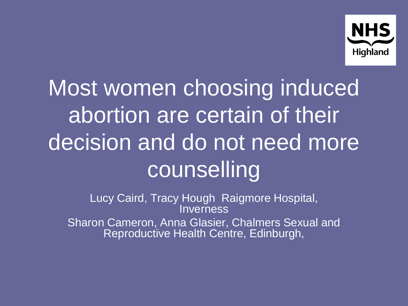

# Most women choosing induced abortion are certain of their decision and do not need more counselling

Lucy Caird, Tracy Hough Raigmore Hospital, **Inverness** Sharon Cameron, Anna Glasier, Chalmers Sexual and Reproductive Health Centre, Edinburgh,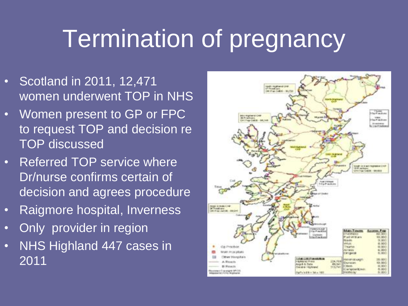## Termination of pregnancy

- Scotland in 2011, 12,471 women underwent TOP in NHS
- Women present to GP or FPC to request TOP and decision re TOP discussed
- Referred TOP service where Dr/nurse confirms certain of decision and agrees procedure
- Raigmore hospital, Inverness
- Only provider in region
- NHS Highland 447 cases in 2011

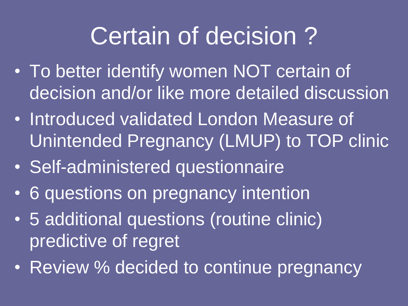## Certain of decision ?

- To better identify women NOT certain of decision and/or like more detailed discussion
- Introduced validated London Measure of Unintended Pregnancy (LMUP) to TOP clinic
- Self-administered questionnaire
- 6 questions on pregnancy intention
- 5 additional questions (routine clinic) predictive of regret
- Review % decided to continue pregnancy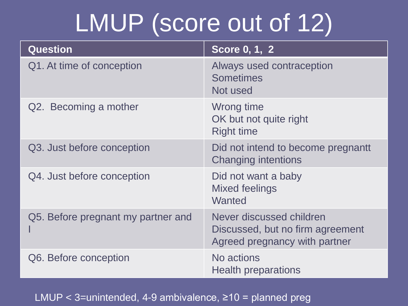# LMUP (score out of 12)

| <b>Question</b>                    | Score 0, 1, 2                                                                                 |
|------------------------------------|-----------------------------------------------------------------------------------------------|
| Q1. At time of conception          | Always used contraception<br><b>Sometimes</b><br>Not used                                     |
| Q2. Becoming a mother              | Wrong time<br>OK but not quite right<br><b>Right time</b>                                     |
| Q3. Just before conception         | Did not intend to become pregnantt<br><b>Changing intentions</b>                              |
| Q4. Just before conception         | Did not want a baby<br><b>Mixed feelings</b><br>Wanted                                        |
| Q5. Before pregnant my partner and | Never discussed children<br>Discussed, but no firm agreement<br>Agreed pregnancy with partner |
| Q6. Before conception              | No actions<br><b>Health preparations</b>                                                      |

#### LMUP < 3=unintended, 4-9 ambivalence, ≥10 = planned preg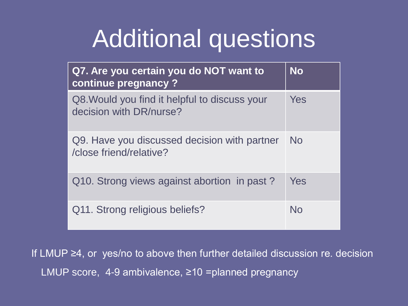# Additional questions

| Q7. Are you certain you do NOT want to<br>continue pregnancy ?           | <b>No</b> |
|--------------------------------------------------------------------------|-----------|
| Q8. Would you find it helpful to discuss your<br>decision with DR/nurse? | Yes       |
| Q9. Have you discussed decision with partner<br>/close friend/relative?  | <b>No</b> |
| Q10. Strong views against abortion in past?                              | Yes       |
| Q11. Strong religious beliefs?                                           | Nο        |

If LMUP ≥4, or yes/no to above then further detailed discussion re. decision LMUP score, 4-9 ambivalence, ≥10 =planned pregnancy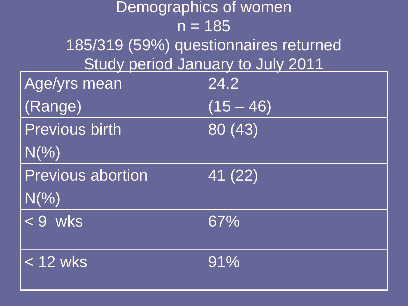| Demographics of women                 |             |  |
|---------------------------------------|-------------|--|
| $n = 185$                             |             |  |
| 185/319 (59%) questionnaires returned |             |  |
| Study period January to July 2011     |             |  |
| Age/yrs mean                          | 24.2        |  |
| (Range)                               | $(15 - 46)$ |  |
| <b>Previous birth</b>                 | 80 (43)     |  |
| $N(\% )$                              |             |  |
| <b>Previous abortion</b>              | 41 (22)     |  |
| $N(\% )$                              |             |  |
| $< 9$ wks                             | 67%         |  |
|                                       |             |  |
| $< 12$ wks                            | 91%         |  |
|                                       |             |  |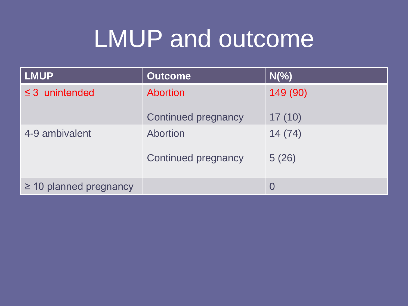# LMUP and outcome

| <b>LMUP</b>                 | <b>Outcome</b>             | $N(\% )$ |
|-----------------------------|----------------------------|----------|
| $\leq$ 3 unintended         | Abortion                   | 149 (90) |
|                             | <b>Continued pregnancy</b> | 17(10)   |
| 4-9 ambivalent              | Abortion                   | 14(74)   |
|                             | <b>Continued pregnancy</b> | 5(26)    |
| $\geq$ 10 planned pregnancy |                            |          |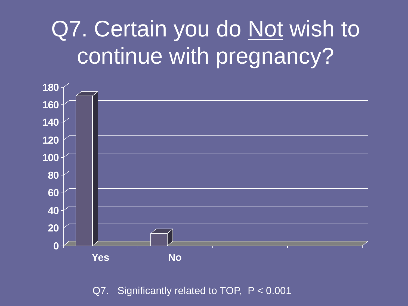#### Q7. Certain you do Not wish to continue with pregnancy?



Q7. Significantly related to TOP, P < 0.001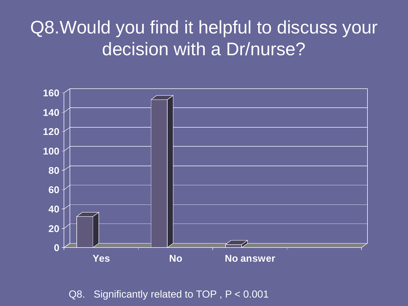#### Q8. Would you find it helpful to discuss your decision with a Dr/nurse?



Q8. Significantly related to TOP , P < 0.001